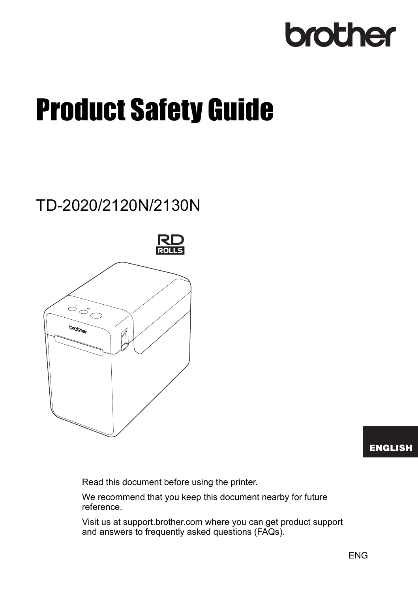# brother

# **Product Safety Guide**

## TD-2020/2120N/2130N



#### **ENGLISH**

Read this document before using the printer.

We recommend that you keep this document nearby for future reference.

Visit us at [support.brother.com](http://support.brother.com/) where you can get product support and answers to frequently asked questions (FAQs).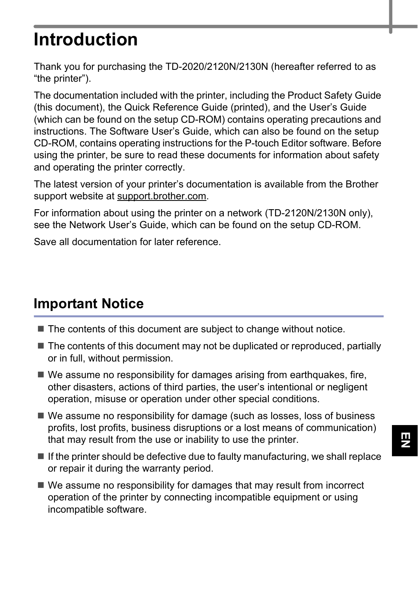# **Introduction**

Thank you for purchasing the TD-2020/2120N/2130N (hereafter referred to as "the printer").

The documentation included with the printer, including the Product Safety Guide (this document), the Quick Reference Guide (printed), and the User's Guide (which can be found on the setup CD-ROM) contains operating precautions and instructions. The Software User's Guide, which can also be found on the setup CD-ROM, contains operating instructions for the P-touch Editor software. Before using the printer, be sure to read these documents for information about safety and operating the printer correctly.

The latest version of your printer's documentation is available from the Brother support website at [support.brother.com](http://support.brother.com/).

For information about using the printer on a network (TD-2120N/2130N only), see the Network User's Guide, which can be found on the setup CD-ROM.

Save all documentation for later reference.

#### **Important Notice**

- The contents of this document are subject to change without notice.
- $\blacksquare$  The contents of this document may not be duplicated or reproduced, partially or in full, without permission.
- $\blacksquare$  We assume no responsibility for damages arising from earthquakes, fire, other disasters, actions of third parties, the user's intentional or negligent operation, misuse or operation under other special conditions.
- We assume no responsibility for damage (such as losses, loss of business profits, lost profits, business disruptions or a lost means of communication) that may result from the use or inability to use the printer.
- $\blacksquare$  If the printer should be defective due to faulty manufacturing, we shall replace or repair it during the warranty period.
- We assume no responsibility for damages that may result from incorrect operation of the printer by connecting incompatible equipment or using incompatible software.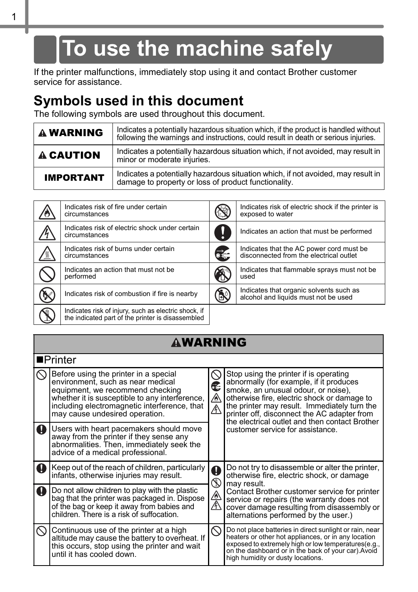# **To use the machine safely**

If the printer malfunctions, immediately stop using it and contact Brother customer service for assistance.

#### **Symbols used in this document**

The following symbols are used throughout this document.

| <b>A WARNING</b> | Indicates a potentially hazardous situation which, if the product is handled without<br>following the warnings and instructions, could result in death or serious injuries. |
|------------------|-----------------------------------------------------------------------------------------------------------------------------------------------------------------------------|
| <b>A CAUTION</b> | Indicates a potentially hazardous situation which, if not avoided, may result in<br>minor or moderate injuries.                                                             |
| <b>IMPORTANT</b> | Indicates a potentially hazardous situation which, if not avoided, may result in<br>damage to property or loss of product functionality.                                    |

| Indicates risk of fire under certain<br>circumstances                                                     |            | Indicates risk of electric shock if the printer is<br>exposed to water              |
|-----------------------------------------------------------------------------------------------------------|------------|-------------------------------------------------------------------------------------|
| Indicates risk of electric shock under certain<br>circumstances                                           |            | Indicates an action that must be performed                                          |
| Indicates risk of burns under certain<br>circumstances                                                    | Œ,         | Indicates that the AC power cord must be<br>disconnected from the electrical outlet |
| Indicates an action that must not be<br>performed                                                         | Â          | Indicates that flammable sprays must not be<br>used                                 |
| Indicates risk of combustion if fire is nearby                                                            | $\bigcirc$ | Indicates that organic solvents such as<br>alcohol and liquids must not be used     |
| Indicates risk of injury, such as electric shock, if<br>the indicated part of the printer is disassembled |            |                                                                                     |

#### **AWARNING**

|           | $\blacksquare$ Printer                                                                                                                                                                                                                             |                    |                                                                                                                                                                                                                                                                                                                          |
|-----------|----------------------------------------------------------------------------------------------------------------------------------------------------------------------------------------------------------------------------------------------------|--------------------|--------------------------------------------------------------------------------------------------------------------------------------------------------------------------------------------------------------------------------------------------------------------------------------------------------------------------|
|           | Before using the printer in a special<br>environment, such as near medical<br>equipment, we recommend checking<br>whether it is susceptible to any interference.<br>including electromagnetic interference, that<br>may cause undesired operation. | ∕∧<br>$\mathbb{A}$ | Stop using the printer if is operating<br>abnormally (for example, if it produces<br>smoke, an unusual odour, or noise).<br>otherwise fire, electric shock or damage to<br>the printer may result. Immediately turn the<br>printer off, disconnect the AC adapter from<br>the electrical outlet and then contact Brother |
| $\bullet$ | Users with heart pacemakers should move<br>away from the printer if they sense any<br>abnormalities. Then, immediately seek the<br>advice of a medical professional.                                                                               |                    | customer service for assistance.                                                                                                                                                                                                                                                                                         |
|           | Keep out of the reach of children, particularly<br>infants, otherwise injuries may result.                                                                                                                                                         | Ø                  | Do not try to disassemble or alter the printer.<br>otherwise fire, electric shock, or damage<br>may result.                                                                                                                                                                                                              |
| $\bullet$ | Do not allow children to play with the plastic<br>bag that the printer was packaged in. Dispose<br>of the bag or keep it away from babies and<br>children. There is a risk of suffocation.                                                         | 会全                 | Contact Brother customer service for printer<br>service or repairs (the warranty does not<br>cover damage resulting from disassembly or<br>alternations performed by the user.)                                                                                                                                          |
|           | Continuous use of the printer at a high<br>altitude may cause the battery to overheat. If<br>this occurs, stop using the printer and wait<br>until it has cooled down.                                                                             |                    | Do not place batteries in direct sunlight or rain, near<br>heaters or other hot appliances, or in any location<br>exposed to extremely high or low temperatures(e.g., on the dashboard or in the back of your car).Avoid<br>high humidity or dusty locations.                                                            |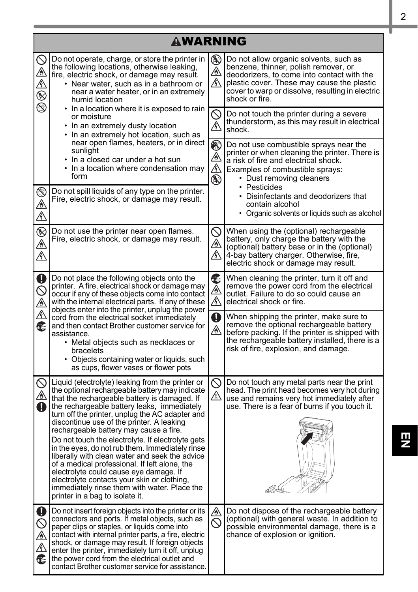|                                                                                                                                                                                                                                                | <b>AWARNING</b>                                                                                                                                                                                                                                                                                                                                                                                                                                                                                                                                                                                                                                                                                                                    |                                                                                                                                                                 |                                                                                                                                                                                                                                                  |  |
|------------------------------------------------------------------------------------------------------------------------------------------------------------------------------------------------------------------------------------------------|------------------------------------------------------------------------------------------------------------------------------------------------------------------------------------------------------------------------------------------------------------------------------------------------------------------------------------------------------------------------------------------------------------------------------------------------------------------------------------------------------------------------------------------------------------------------------------------------------------------------------------------------------------------------------------------------------------------------------------|-----------------------------------------------------------------------------------------------------------------------------------------------------------------|--------------------------------------------------------------------------------------------------------------------------------------------------------------------------------------------------------------------------------------------------|--|
| $\oslash$<br>⚠<br>A<br>®<br>$\circledS$                                                                                                                                                                                                        | Do not operate, charge, or store the printer in<br>the following locations, otherwise leaking,<br>fire, electric shock, or damage may result.<br>• Near water, such as in a bathroom or<br>near a water heater, or in an extremely<br>humid location                                                                                                                                                                                                                                                                                                                                                                                                                                                                               | ▧<br>⚠<br>M                                                                                                                                                     | Do not allow organic solvents, such as<br>benzene, thinner, polish remover, or<br>deodorizers, to come into contact with the<br>plastic cover. These may cause the plastic<br>cover to warp or dissolve, resulting in electric<br>shock or fire. |  |
|                                                                                                                                                                                                                                                | • In a location where it is exposed to rain<br>or moisture<br>• In an extremely dusty location<br>• In an extremely hot location, such as                                                                                                                                                                                                                                                                                                                                                                                                                                                                                                                                                                                          | $\mathbb O$<br>$\mathbb{A}$                                                                                                                                     | Do not touch the printer during a severe<br>thunderstorm, as this may result in electrical<br>shock.                                                                                                                                             |  |
|                                                                                                                                                                                                                                                | near open flames, heaters, or in direct<br>$\circledast$<br>sunlight<br>⚠<br>• In a closed car under a hot sun<br><u>A </u><br>• In a location where condensation may<br>form<br>$\circledS$                                                                                                                                                                                                                                                                                                                                                                                                                                                                                                                                       |                                                                                                                                                                 | Do not use combustible sprays near the<br>printer or when cleaning the printer. There is<br>a risk of fire and electrical shock.<br>Examples of combustible sprays:<br>• Dust removing cleaners                                                  |  |
| ▧<br>⚠<br>$\mathbb{A}$                                                                                                                                                                                                                         | Do not spill liquids of any type on the printer.<br>Fire, electric shock, or damage may result.                                                                                                                                                                                                                                                                                                                                                                                                                                                                                                                                                                                                                                    |                                                                                                                                                                 | • Pesticides<br>• Disinfectants and deodorizers that<br>contain alcohol<br>• Organic solvents or liquids such as alcohol                                                                                                                         |  |
| $\circledR$<br>⚠<br>Ą                                                                                                                                                                                                                          | Do not use the printer near open flames.<br>Fire, electric shock, or damage may result.                                                                                                                                                                                                                                                                                                                                                                                                                                                                                                                                                                                                                                            | $\oslash$<br>⚠<br>A\                                                                                                                                            | When using the (optional) rechargeable<br>battery, only charge the battery with the<br>(optional) battery base or in the (optional)<br>4-bay battery charger. Otherwise, fire,<br>electric shock or damage may result.                           |  |
| $\mathbf 0$<br>Do not place the following objects onto the<br>printer. A fire, electrical shock or damage may<br>$\circledcirc$<br>occur if any of these objects come into contact<br>⚠<br>with the internal electrical parts. If any of these | C<br><u></u><br>Л\                                                                                                                                                                                                                                                                                                                                                                                                                                                                                                                                                                                                                                                                                                                 | When cleaning the printer, turn it off and<br>remove the power cord from the electrical<br>outlet. Failure to do so could cause an<br>electrical shock or fire. |                                                                                                                                                                                                                                                  |  |
| C                                                                                                                                                                                                                                              | $\overline{\mathbb{A}}$<br>objects enter into the printer, unplug the power<br>Ô<br>cord from the electrical socket immediately<br>and then contact Brother customer service for<br>⚠<br>assistance.<br>• Metal objects such as necklaces or<br>bracelets<br>• Objects containing water or liquids, such<br>as cups, flower vases or flower pots                                                                                                                                                                                                                                                                                                                                                                                   |                                                                                                                                                                 | When shipping the printer, make sure to<br>remove the optional rechargeable battery<br>before packing. If the printer is shipped with<br>the rechargeable battery installed, there is a<br>risk of fire, explosion, and damage.                  |  |
| $\oslash$<br>⚠<br>A                                                                                                                                                                                                                            | Liquid (electrolyte) leaking from the printer or<br>the optional rechargeable battery may indicate<br>that the rechargeable battery is damaged. If<br>the rechargeable battery leaks, immediately<br>turn off the printer, unplug the AC adapter and<br>discontinue use of the printer. A leaking<br>rechargeable battery may cause a fire.<br>Do not touch the electrolyte. If electrolyte gets<br>in the eyes, do not rub them. Immediately rinse<br>liberally with clean water and seek the advice<br>of a medical professional. If left alone, the<br>electrolyte could cause eye damage. If<br>electrolyte contacts your skin or clotning,<br>immediately rinse them with water. Place the<br>printer in a bag to isolate it. | $\oslash$<br>⚠                                                                                                                                                  | Do not touch any metal parts near the print<br>head. The print head becomes very hot during<br>use and remains very hot immediately after<br>use. There is a fear of burns if you touch it.                                                      |  |
| <b>●◎▲▲</b><br>€                                                                                                                                                                                                                               | Do not insert foreign objects into the printer or its<br>connectors and ports. If metal objects, such as<br>paper clips or staples, or liquids come into<br>contact with internal printer parts, a fire, electric<br>shock, or damage may result. If foreign objects<br>enter the printer, immediately turn it off, unplug<br>the power cord from the electrical outlet and<br>contact Brother customer service for assistance.                                                                                                                                                                                                                                                                                                    | ∕₩<br>$\oslash$                                                                                                                                                 | Do not dispose of the rechargeable battery<br>(optional) with general waste. In addition to<br>possible environmental damage, there is a<br>chance of explosion or ignition.                                                                     |  |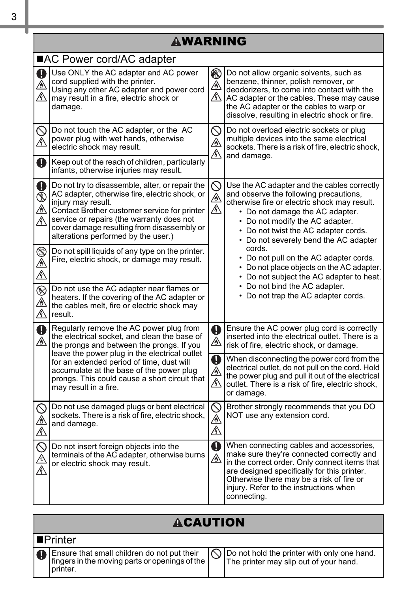|                                      | <b>AWARNING</b>                                                                                                                                                                                                                                                                                           |                                 |                                                                                                                                                                                                                                                                                              |  |
|--------------------------------------|-----------------------------------------------------------------------------------------------------------------------------------------------------------------------------------------------------------------------------------------------------------------------------------------------------------|---------------------------------|----------------------------------------------------------------------------------------------------------------------------------------------------------------------------------------------------------------------------------------------------------------------------------------------|--|
|                                      | ■AC Power cord/AC adapter                                                                                                                                                                                                                                                                                 |                                 |                                                                                                                                                                                                                                                                                              |  |
| $\mathbf 0$<br>ΛN                    | Use ONLY the AC adapter and AC power<br>cord supplied with the printer.<br>Using any other AC adapter and power cord<br>may result in a fire, electric shock or<br>damage.                                                                                                                                | ◉<br>⚠<br>A                     | Do not allow organic solvents, such as<br>benzene, thinner, polish remover, or<br>deodorizers, to come into contact with the<br>AC adapter or the cables. These may cause<br>the AC adapter or the cables to warp or<br>dissolve, resulting in electric shock or fire.                       |  |
| $\bigotimes_{\mathbb{A}}$            | Do not touch the AC adapter, or the AC<br>power plug with wet hands, otherwise<br>electric shock may result.                                                                                                                                                                                              | $\mathbb O$<br>⚠<br>$\mathbb A$ | Do not overload electric sockets or plug<br>multiple devices into the same electrical<br>sockets. There is a risk of fire, electric shock.<br>and damage.                                                                                                                                    |  |
| Q                                    | Keep out of the reach of children, particularly<br>infants, otherwise injuries may result.                                                                                                                                                                                                                |                                 |                                                                                                                                                                                                                                                                                              |  |
| $\mathbf 0$<br>$\circledS$<br>⚠<br>⚠ | Do not try to disassemble, alter, or repair the<br>AC adapter, otherwise fire, electric shock, or<br>injury may result.<br>Contact Brother customer service for printer<br>service or repairs (the warranty does not<br>cover damage resulting from disassembly or<br>alterations performed by the user.) | $\mathbb S$<br>Á<br>Л           | Use the AC adapter and the cables correctly<br>and observe the following precautions,<br>otherwise fire or electric shock may result.<br>• Do not damage the AC adapter.<br>• Do not modify the AC adapter.<br>• Do not twist the AC adapter cords.<br>• Do not severely bend the AC adapter |  |
| S<br>⊛<br>Â                          | Do not spill liquids of any type on the printer.<br>Fire, electric shock, or damage may result.                                                                                                                                                                                                           |                                 | cords.<br>• Do not pull on the AC adapter cords.<br>• Do not place objects on the AC adapter.<br>• Do not subject the AC adapter to heat.                                                                                                                                                    |  |
| $^{\circledR}$<br>∕o<br>Â            | Do not use the AC adapter near flames or<br>heaters. If the covering of the AC adapter or<br>the cables melt, fire or electric shock may<br>result.                                                                                                                                                       |                                 | • Do not bind the AC adapter.<br>• Do not trap the AC adapter cords.                                                                                                                                                                                                                         |  |
| $\mathbf 0$<br>⚠                     | Regularly remove the AC power plug from<br>the electrical socket, and clean the base of<br>the prongs and between the prongs. If you<br>leave the power plug in the electrical outlet                                                                                                                     | Q<br>⚠                          | Ensure the AC power plug cord is correctly<br>inserted into the electrical outlet. There is a<br>risk of fire, electric shock, or damage.                                                                                                                                                    |  |
|                                      | for an extended period of time, dust will<br>accumulate at the base of the power plug<br>prongs. This could cause a short circuit that<br>may result in a fire.                                                                                                                                           | $\mathbf 0$<br>⚠<br>M           | When disconnecting the power cord from the<br>electrical outlet, do not pull on the cord. Hold<br>the power plug and pull it out of the electrical<br>outlet. There is a risk of fire, electric shock,<br>or damage.                                                                         |  |
| Q<br>A                               | Do not use damaged plugs or bent electrical<br>sockets. There is a risk of fire, electric shock,<br>and damage.                                                                                                                                                                                           | $\oslash$<br>⚠<br>/}\           | Brother strongly recommends that you DO<br>NOT use any extension cord.                                                                                                                                                                                                                       |  |
| Ą                                    | Do not insert foreign objects into the<br>terminals of the AC adapter, otherwise burns<br>or electric shock may result.                                                                                                                                                                                   | Ø<br>⚠                          | When connecting cables and accessories,<br>make sure they're connected correctly and<br>in the correct order. Only connect items that<br>are designed specifically for this printer.<br>Otherwise there may be a risk of fire or<br>injury. Refer to the instructions when<br>connecting.    |  |

#### **ACAUTION**

|  | <b>I</b> ■Printer                                                                                            |                                                                                                 |
|--|--------------------------------------------------------------------------------------------------------------|-------------------------------------------------------------------------------------------------|
|  | IO Ensure that small children do not put their<br>fingers in the moving parts or openings of the<br>printer. | $\bigcap$ Do not hold the printer with only one hand.<br>The printer may slip out of your hand. |

L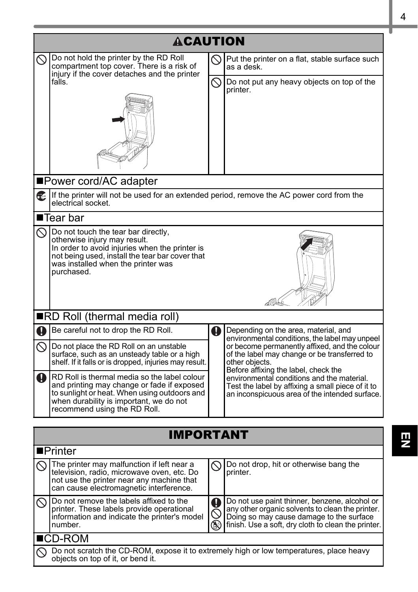|             | <b>ACAUTION</b>                                                                                                                                                                                                              |                  |                                                                                                                                                                                                      |  |
|-------------|------------------------------------------------------------------------------------------------------------------------------------------------------------------------------------------------------------------------------|------------------|------------------------------------------------------------------------------------------------------------------------------------------------------------------------------------------------------|--|
| $\oslash$   | Do not hold the printer by the RD Roll<br>compartment top cover. There is a risk of                                                                                                                                          |                  | Put the printer on a flat, stable surface such<br>as a desk.                                                                                                                                         |  |
|             | injury if the cover detaches and the printer<br>falls.                                                                                                                                                                       | $\oslash$        | Do not put any heavy objects on top of the<br>printer.                                                                                                                                               |  |
|             |                                                                                                                                                                                                                              |                  |                                                                                                                                                                                                      |  |
|             | ■Power cord/AC adapter                                                                                                                                                                                                       |                  |                                                                                                                                                                                                      |  |
| œ.          | If the printer will not be used for an extended period, remove the AC power cord from the<br>electrical socket.                                                                                                              |                  |                                                                                                                                                                                                      |  |
|             | $\blacksquare$ Tear bar                                                                                                                                                                                                      |                  |                                                                                                                                                                                                      |  |
| $\infty$    | Do not touch the tear bar directly,<br>otherwise injury may result.<br>In order to avoid injuries when the printer is<br>not being used, install the tear bar cover that<br>was installed when the printer was<br>purchased. |                  |                                                                                                                                                                                                      |  |
|             | RD Roll (thermal media roll)                                                                                                                                                                                                 |                  |                                                                                                                                                                                                      |  |
| q           | Be careful not to drop the RD Roll.                                                                                                                                                                                          | $\mathbf 0$      | Depending on the area, material, and<br>environmental conditions, the label may unpeel                                                                                                               |  |
| ல           | Do not place the RD Roll on an unstable<br>surface, such as an unsteady table or a high<br>shelf. If it falls or is dropped, injuries may result.                                                                            |                  | or become permanently affixed, and the colour<br>of the label may change or be transferred to<br>other objects.<br>Before affixing the label, check the                                              |  |
| $\mathbf 0$ | RD Roll is thermal media so the label colour<br>and printing may change or fade if exposed<br>to sunlight or heat. When using outdoors and<br>when durability is important, we do not<br>recommend using the RD Roll.        |                  | environmental conditions and the material.<br>Test the label by affixing a small piece of it to<br>an inconspicuous area of the intended surface.                                                    |  |
|             | <b>IMPORTANT</b>                                                                                                                                                                                                             |                  |                                                                                                                                                                                                      |  |
|             | $\blacksquare$ Printer                                                                                                                                                                                                       |                  |                                                                                                                                                                                                      |  |
|             | The printer may malfunction if left near a<br>television, radio, microwave oven, etc. Do<br>not use the printer near any machine that<br>can cause electromagnetic interference.                                             | $\oslash$        | Do not drop, hit or otherwise bang the<br>printer.                                                                                                                                                   |  |
| べ           | Do not remove the labels affixed to the<br>printer. These labels provide operational<br>information and indicate the printer's model<br>number.                                                                              | Q<br>$\circledS$ | Do not use paint thinner, benzene, alcohol or<br>any other organic solvents to clean the printer.<br>Doing so may cause damage to the surface<br>finish. Use a soft, dry cloth to clean the printer. |  |
|             | ∎CD-ROM                                                                                                                                                                                                                      |                  |                                                                                                                                                                                                      |  |
|             | Do not scratch the CD-ROM, expose it to extremely high or low temperatures, place heavy<br>objects on top of it, or bend it.                                                                                                 |                  |                                                                                                                                                                                                      |  |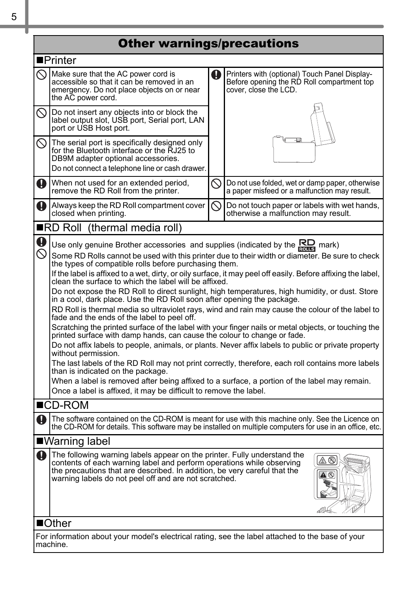#### Other warnings/precautions

|                  | ■Printer                                                                                                                                                                                                                                                                                |              |                                                                                                                      |  |
|------------------|-----------------------------------------------------------------------------------------------------------------------------------------------------------------------------------------------------------------------------------------------------------------------------------------|--------------|----------------------------------------------------------------------------------------------------------------------|--|
|                  | Make sure that the AC power cord is<br>accessible so that it can be removed in an<br>emergency. Do not place objects on or near<br>the AC power cord.                                                                                                                                   | a            | Printers with (optional) Touch Panel Display-<br>Before opening the RD Roll compartment top<br>cover, close the LCD. |  |
| $\oslash$        | Do not insert any objects into or block the<br>label output slot, USB port, Serial port, LAN<br>port or USB Host port.                                                                                                                                                                  |              |                                                                                                                      |  |
| ல                | The serial port is specifically designed only<br>for the Bluetooth interface or the RJ25 to<br>DB9M adapter optional accessories.<br>Do not connect a telephone line or cash drawer.                                                                                                    |              |                                                                                                                      |  |
| Q                | When not used for an extended period,<br>remove the RD Roll from the printer.                                                                                                                                                                                                           | $\oslash$    | Do not use folded, wet or damp paper, otherwise<br>a paper misfeed or a malfunction may result.                      |  |
| T                | Always keep the RD Roll compartment cover<br>closed when printing.                                                                                                                                                                                                                      | $\heartsuit$ | Do not touch paper or labels with wet hands,<br>otherwise a malfunction may result.                                  |  |
|                  | ■RD Roll (thermal media roll)                                                                                                                                                                                                                                                           |              |                                                                                                                      |  |
| O<br>$\mathbb S$ | Use only genuine Brother accessories and supplies (indicated by the $\overline{\text{RDP}}$ mark)                                                                                                                                                                                       |              |                                                                                                                      |  |
|                  | Some RD Rolls cannot be used with this printer due to their width or diameter. Be sure to check<br>the types of compatible rolls before purchasing them.                                                                                                                                |              |                                                                                                                      |  |
|                  | If the label is affixed to a wet, dirty, or oily surface, it may peel off easily. Before affixing the label,<br>clean the surface to which the label will be affixed.                                                                                                                   |              |                                                                                                                      |  |
|                  | Do not expose the RD Roll to direct sunlight, high temperatures, high humidity, or dust. Store<br>in a cool, dark place. Use the RD Roll soon after opening the package.                                                                                                                |              |                                                                                                                      |  |
|                  | RD Roll is thermal media so ultraviolet rays, wind and rain may cause the colour of the label to<br>fade and the ends of the label to peel off.                                                                                                                                         |              |                                                                                                                      |  |
|                  | Scratching the printed surface of the label with your finger nails or metal objects, or touching the<br>printed surface with damp hands, can cause the colour to change or fade.                                                                                                        |              |                                                                                                                      |  |
|                  | Do not affix labels to people, animals, or plants. Never affix labels to public or private property<br>without permission.                                                                                                                                                              |              |                                                                                                                      |  |
|                  | The last labels of the RD Roll may not print correctly, therefore, each roll contains more labels<br>than is indicated on the package.                                                                                                                                                  |              |                                                                                                                      |  |
|                  | When a label is removed after being affixed to a surface, a portion of the label may remain.<br>Once a label is affixed, it may be difficult to remove the label.                                                                                                                       |              |                                                                                                                      |  |
|                  | $\blacksquare$ CD-ROM                                                                                                                                                                                                                                                                   |              |                                                                                                                      |  |
| n                | The software contained on the CD-ROM is meant for use with this machine only. See the Licence on                                                                                                                                                                                        |              |                                                                                                                      |  |
|                  |                                                                                                                                                                                                                                                                                         |              | the CD-ROM for details. This software may be installed on multiple computers for use in an office, etc.              |  |
|                  | ■Warning label                                                                                                                                                                                                                                                                          |              |                                                                                                                      |  |
| T                | The following warning labels appear on the printer. Fully understand the<br>contents of each warning label and perform operations while observing<br>the precautions that are described. In addition, be very careful that the<br>warning labels do not peel off and are not scratched. |              |                                                                                                                      |  |
|                  | $\blacksquare$ Other                                                                                                                                                                                                                                                                    |              |                                                                                                                      |  |
|                  | For information about your model's electrical rating, see the label attached to the base of your<br>machine.                                                                                                                                                                            |              |                                                                                                                      |  |

T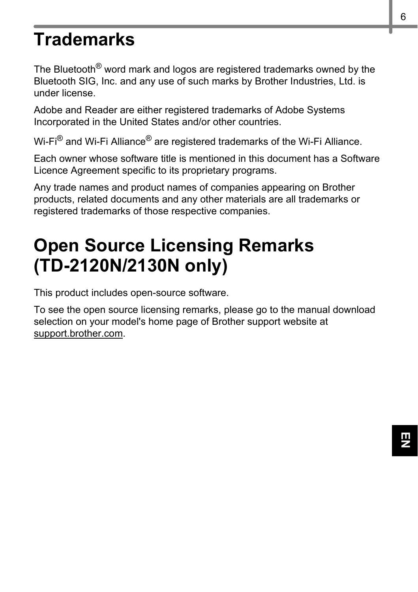## **Trademarks**

The Bluetooth<sup>®</sup> word mark and logos are registered trademarks owned by the Bluetooth SIG, Inc. and any use of such marks by Brother Industries, Ltd. is under license.

Adobe and Reader are either registered trademarks of Adobe Systems Incorporated in the United States and/or other countries.

Wi-Fi<sup>®</sup> and Wi-Fi Alliance<sup>®</sup> are registered trademarks of the Wi-Fi Alliance.

Each owner whose software title is mentioned in this document has a Software Licence Agreement specific to its proprietary programs.

Any trade names and product names of companies appearing on Brother products, related documents and any other materials are all trademarks or registered trademarks of those respective companies.

# **Open Source Licensing Remarks (TD-2120N/2130N only)**

This product includes open-source software.

To see the open source licensing remarks, please go to the manual download selection on your model's home page of Brother support website at [support.brother.com](http://support.brother.com/).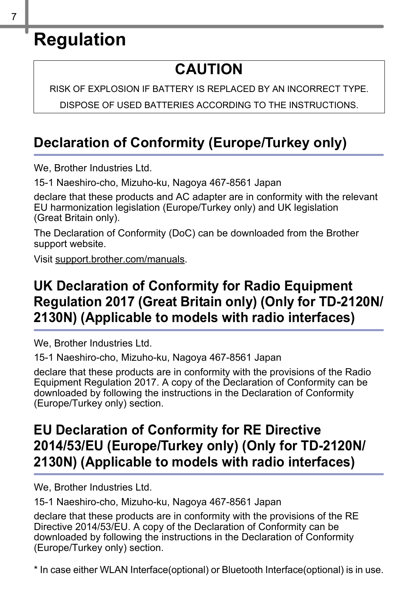## **Regulation**

### **CAUTION**

RISK OF EXPLOSION IF BATTERY IS REPLACED BY AN INCORRECT TYPE.

DISPOSE OF USED BATTERIES ACCORDING TO THE INSTRUCTIONS.

#### **Declaration of Conformity (Europe/Turkey only)**

We, Brother Industries Ltd.

15-1 Naeshiro-cho, Mizuho-ku, Nagoya 467-8561 Japan

declare that these products and AC adapter are in conformity with the relevant EU harmonization legislation (Europe/Turkey only) and UK legislation (Great Britain only).

The Declaration of Conformity (DoC) can be downloaded from the Brother support website.

Visit [support.brother.com/manuals.](http://support.brother.com/manuals)

#### **UK Declaration of Conformity for Radio Equipment Regulation 2017 (Great Britain only) (Only for TD-2120N/ 2130N) (Applicable to models with radio interfaces)**

We, Brother Industries Ltd.

15-1 Naeshiro-cho, Mizuho-ku, Nagoya 467-8561 Japan

declare that these products are in conformity with the provisions of the Radio Equipment Regulation 2017. A copy of the Declaration of Conformity can be downloaded by following the instructions in the Declaration of Conformity (Europe/Turkey only) section.

#### **EU Declaration of Conformity for RE Directive 2014/53/EU (Europe/Turkey only) (Only for TD-2120N/ 2130N) (Applicable to models with radio interfaces)**

We, Brother Industries Ltd.

15-1 Naeshiro-cho, Mizuho-ku, Nagoya 467-8561 Japan

declare that these products are in conformity with the provisions of the RE Directive 2014/53/EU. A copy of the Declaration of Conformity can be downloaded by following the instructions in the Declaration of Conformity (Europe/Turkey only) section.

\* In case either WLAN Interface(optional) or Bluetooth Interface(optional) is in use.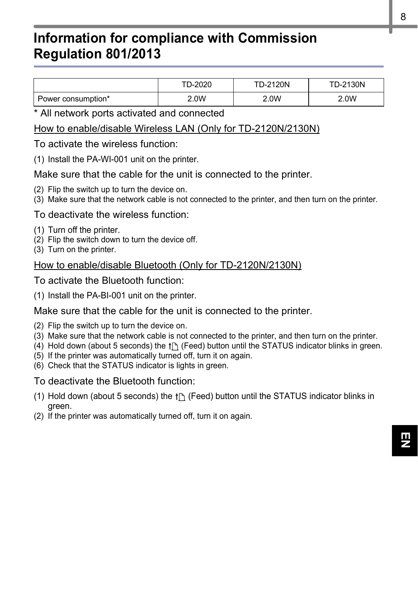#### **Information for compliance with Commission Regulation 801/2013**

|                    | TD-2020 | <b>TD-2120N</b> | <b>TD-2130N</b> |
|--------------------|---------|-----------------|-----------------|
| Power consumption* | 2.0W    | 2.0W            | 2.0W            |

\* All network ports activated and connected

#### How to enable/disable Wireless LAN (Only for TD-2120N/2130N)

To activate the wireless function:

(1) Install the PA-WI-001 unit on the printer.

Make sure that the cable for the unit is connected to the printer.

- (2) Flip the switch up to turn the device on.
- (3) Make sure that the network cable is not connected to the printer, and then turn on the printer.

#### To deactivate the wireless function:

- (1) Turn off the printer.
- (2) Flip the switch down to turn the device off.
- (3) Turn on the printer.

#### How to enable/disable Bluetooth (Only for TD-2120N/2130N)

To activate the Bluetooth function:

(1) Install the PA-BI-001 unit on the printer.

#### Make sure that the cable for the unit is connected to the printer.

- (2) Flip the switch up to turn the device on.
- (3) Make sure that the network cable is not connected to the printer, and then turn on the printer.
- (4) Hold down (about 5 seconds) the  $f[\uparrow]$  (Feed) button until the STATUS indicator blinks in green.
- (5) If the printer was automatically turned off, turn it on again.
- (6) Check that the STATUS indicator is lights in green.

#### To deactivate the Bluetooth function:

- (1) Hold down (about 5 seconds) the  $f \upharpoonright$  (Feed) button until the STATUS indicator blinks in green.
- (2) If the printer was automatically turned off, turn it on again.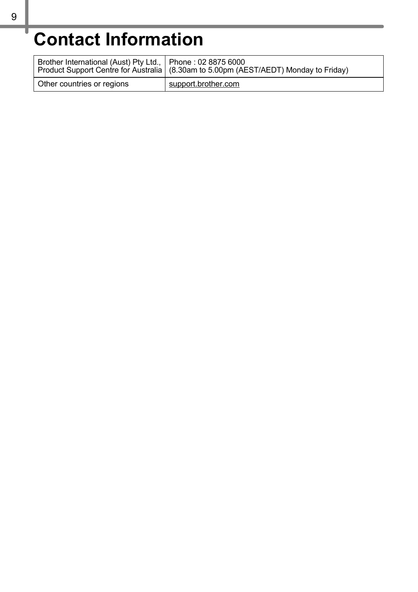# **Contact Information**

| Brother International (Aust) Pty Ltd.,   Phone: 02 8875 6000 | Product Support Centre for Australia   (8.30am to 5.00pm (AEST/AEDT) Monday to Friday) |
|--------------------------------------------------------------|----------------------------------------------------------------------------------------|
| Other countries or regions                                   | support brother com                                                                    |